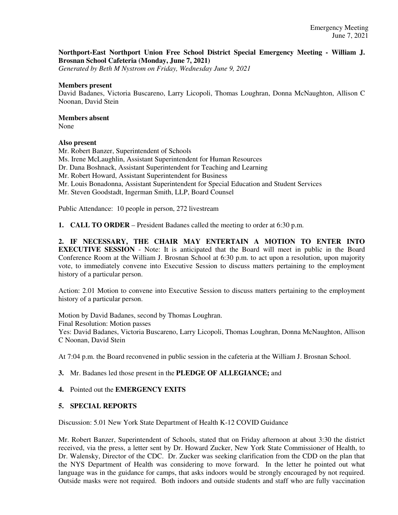## **Northport-East Northport Union Free School District Special Emergency Meeting - William J. Brosnan School Cafeteria (Monday, June 7, 2021)**

*Generated by Beth M Nystrom on Friday, Wednesday June 9, 2021*

#### **Members present**

David Badanes, Victoria Buscareno, Larry Licopoli, Thomas Loughran, Donna McNaughton, Allison C Noonan, David Stein

## **Members absent**

None

## **Also present**

Mr. Robert Banzer, Superintendent of Schools Ms. Irene McLaughlin, Assistant Superintendent for Human Resources Dr. Dana Boshnack, Assistant Superintendent for Teaching and Learning Mr. Robert Howard, Assistant Superintendent for Business Mr. Louis Bonadonna, Assistant Superintendent for Special Education and Student Services Mr. Steven Goodstadt, Ingerman Smith, LLP, Board Counsel

Public Attendance: 10 people in person, 272 livestream

**1. CALL TO ORDER** – President Badanes called the meeting to order at 6:30 p.m.

**2. IF NECESSARY, THE CHAIR MAY ENTERTAIN A MOTION TO ENTER INTO EXECUTIVE SESSION** - Note: It is anticipated that the Board will meet in public in the Board Conference Room at the William J. Brosnan School at 6:30 p.m. to act upon a resolution, upon majority vote, to immediately convene into Executive Session to discuss matters pertaining to the employment history of a particular person.

Action: 2.01 Motion to convene into Executive Session to discuss matters pertaining to the employment history of a particular person.

Motion by David Badanes, second by Thomas Loughran. Final Resolution: Motion passes Yes: David Badanes, Victoria Buscareno, Larry Licopoli, Thomas Loughran, Donna McNaughton, Allison C Noonan, David Stein

At 7:04 p.m. the Board reconvened in public session in the cafeteria at the William J. Brosnan School.

## **3.** Mr. Badanes led those present in the **PLEDGE OF ALLEGIANCE;** and

## **4.** Pointed out the **EMERGENCY EXITS**

## **5. SPECIAL REPORTS**

Discussion: 5.01 New York State Department of Health K-12 COVID Guidance

Mr. Robert Banzer, Superintendent of Schools, stated that on Friday afternoon at about 3:30 the district received, via the press, a letter sent by Dr. Howard Zucker, New York State Commissioner of Health, to Dr. Walensky, Director of the CDC. Dr. Zucker was seeking clarification from the CDD on the plan that the NYS Department of Health was considering to move forward. In the letter he pointed out what language was in the guidance for camps, that asks indoors would be strongly encouraged by not required. Outside masks were not required. Both indoors and outside students and staff who are fully vaccination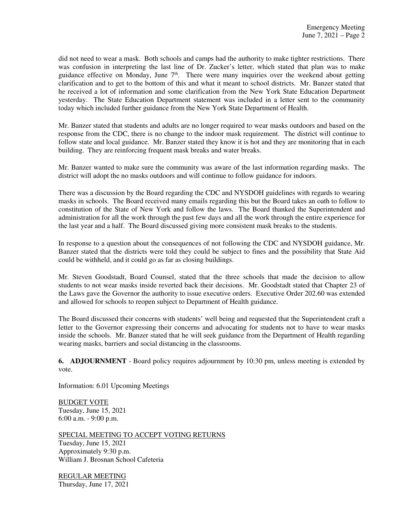did not need to wear a mask. Both schools and camps had the authority to make tighter restrictions. There was confusion in interpreting the last line of Dr. Zucker's letter, which stated that plan was to make guidance effective on Monday, June  $7<sup>th</sup>$ . There were many inquiries over the weekend about getting clarification and to get to the bottom of this and what it meant to school districts. Mr. Banzer stated that he received a lot of information and some clarification from the New York State Education Department yesterday. The State Education Department statement was included in a letter sent to the community today which included further guidance from the New York State Department of Health.

Mr. Banzer stated that students and adults are no longer required to wear masks outdoors and based on the response from the CDC, there is no change to the indoor mask requirement. The district will continue to follow state and local guidance. Mr. Banzer stated they know it is hot and they are monitoring that in each building. They are reinforcing frequent mask breaks and water breaks.

Mr. Banzer wanted to make sure the community was aware of the last information regarding masks. The district will adopt the no masks outdoors and will continue to follow guidance for indoors.

There was a discussion by the Board regarding the CDC and NYSDOH guidelines with regards to wearing masks in schools. The Board received many emails regarding this but the Board takes an oath to follow to constitution of the State of New York and follow the laws. The Board thanked the Superintendent and administration for all the work through the past few days and all the work through the entire experience for the last year and a half. The Board discussed giving more consistent mask breaks to the students.

In response to a question about the consequences of not following the CDC and NYSDOH guidance, Mr. Banzer stated that the districts were told they could be subject to fines and the possibility that State Aid could be withheld, and it could go as far as closing buildings.

Mr. Steven Goodstadt, Board Counsel, stated that the three schools that made the decision to allow students to not wear masks inside reverted back their decisions. Mr. Goodstadt stated that Chapter 23 of the Laws gave the Governor the authority to issue executive orders. Executive Order 202.60 was extended and allowed for schools to reopen subject to Department of Health guidance.

The Board discussed their concerns with students' well being and requested that the Superintendent craft a letter to the Governor expressing their concerns and advocating for students not to have to wear masks inside the schools. Mr. Banzer stated that he will seek guidance from the Department of Health regarding wearing masks, barriers and social distancing in the classrooms.

**6. ADJOURNMENT** - Board policy requires adjournment by 10:30 pm, unless meeting is extended by vote.

Information: 6.01 Upcoming Meetings

BUDGET VOTE Tuesday, June 15, 2021 6:00 a.m. - 9:00 p.m.

SPECIAL MEETING TO ACCEPT VOTING RETURNS

Tuesday, June 15, 2021 Approximately 9:30 p.m. William J. Brosnan School Cafeteria

REGULAR MEETING Thursday, June 17, 2021